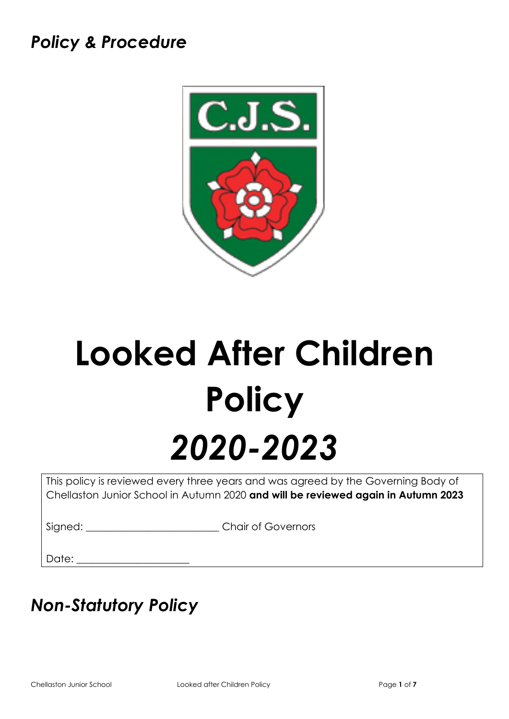## *Policy & Procedure*



# **Looked After Children Policy** *2020-2023*

This policy is reviewed every three years and was agreed by the Governing Body of Chellaston Junior School in Autumn 2020 **and will be reviewed again in Autumn 2023**

Signed: \_\_\_\_\_\_\_\_\_\_\_\_\_\_\_\_\_\_\_\_\_\_\_\_\_\_\_\_\_\_\_Chair of Governors

Date:  $\Box$ 

# *Non-Statutory Policy*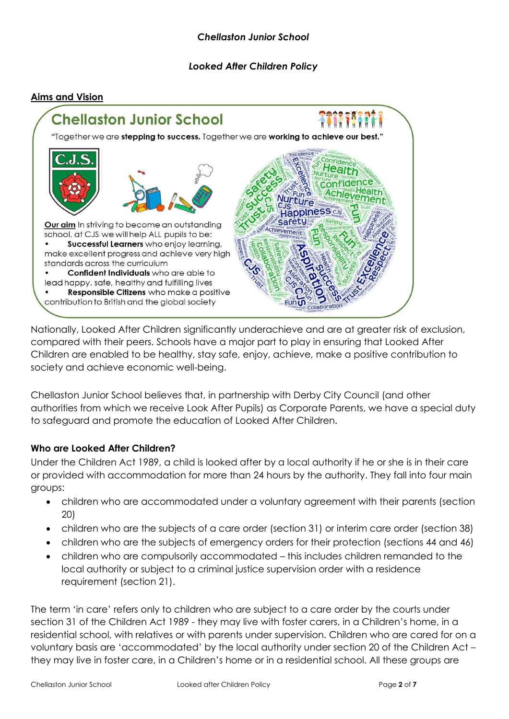#### *Looked After Children Policy*





Nationally, Looked After Children significantly underachieve and are at greater risk of exclusion, compared with their peers. Schools have a major part to play in ensuring that Looked After Children are enabled to be healthy, stay safe, enjoy, achieve, make a positive contribution to society and achieve economic well-being.

Chellaston Junior School believes that, in partnership with Derby City Council (and other authorities from which we receive Look After Pupils) as Corporate Parents, we have a special duty to safeguard and promote the education of Looked After Children.

#### **Who are Looked After Children?**

Under the Children Act 1989, a child is looked after by a local authority if he or she is in their care or provided with accommodation for more than 24 hours by the authority. They fall into four main groups:

- children who are accommodated under a voluntary agreement with their parents (section 20)
- children who are the subjects of a care order (section 31) or interim care order (section 38)
- children who are the subjects of emergency orders for their protection (sections 44 and 46)
- children who are compulsorily accommodated this includes children remanded to the local authority or subject to a criminal justice supervision order with a residence requirement (section 21).

The term 'in care' refers only to children who are subject to a care order by the courts under section 31 of the Children Act 1989 - they may live with foster carers, in a Children's home, in a residential school, with relatives or with parents under supervision. Children who are cared for on a voluntary basis are 'accommodated' by the local authority under section 20 of the Children Act – they may live in foster care, in a Children's home or in a residential school. All these groups are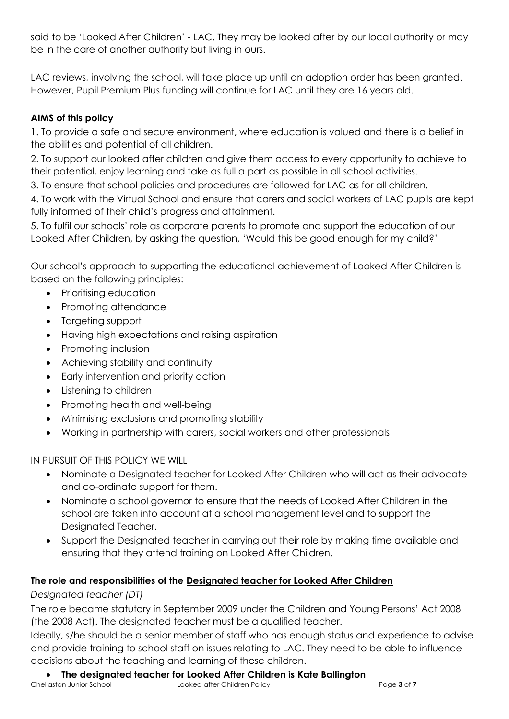said to be 'Looked After Children' - LAC. They may be looked after by our local authority or may be in the care of another authority but living in ours.

LAC reviews, involving the school, will take place up until an adoption order has been granted. However, Pupil Premium Plus funding will continue for LAC until they are 16 years old.

#### **AIMS of this policy**

1. To provide a safe and secure environment, where education is valued and there is a belief in the abilities and potential of all children.

2. To support our looked after children and give them access to every opportunity to achieve to their potential, enjoy learning and take as full a part as possible in all school activities.

3. To ensure that school policies and procedures are followed for LAC as for all children.

4. To work with the Virtual School and ensure that carers and social workers of LAC pupils are kept fully informed of their child's progress and attainment.

5. To fulfil our schools' role as corporate parents to promote and support the education of our Looked After Children, by asking the question, 'Would this be good enough for my child?'

Our school's approach to supporting the educational achievement of Looked After Children is based on the following principles:

- Prioritising education
- Promoting attendance
- Targeting support
- Having high expectations and raising aspiration
- Promoting inclusion
- Achieving stability and continuity
- Early intervention and priority action
- Listening to children
- Promoting health and well-being
- Minimising exclusions and promoting stability
- Working in partnership with carers, social workers and other professionals

IN PURSUIT OF THIS POLICY WE WILL

- Nominate a Designated teacher for Looked After Children who will act as their advocate and co-ordinate support for them.
- Nominate a school governor to ensure that the needs of Looked After Children in the school are taken into account at a school management level and to support the Designated Teacher.
- Support the Designated teacher in carrying out their role by making time available and ensuring that they attend training on Looked After Children.

#### **The role and responsibilities of the Designated teacher for Looked After Children**

#### *Designated teacher (DT)*

The role became statutory in September 2009 under the Children and Young Persons' Act 2008 (the 2008 Act). The designated teacher must be a qualified teacher.

Ideally, s/he should be a senior member of staff who has enough status and experience to advise and provide training to school staff on issues relating to LAC. They need to be able to influence decisions about the teaching and learning of these children.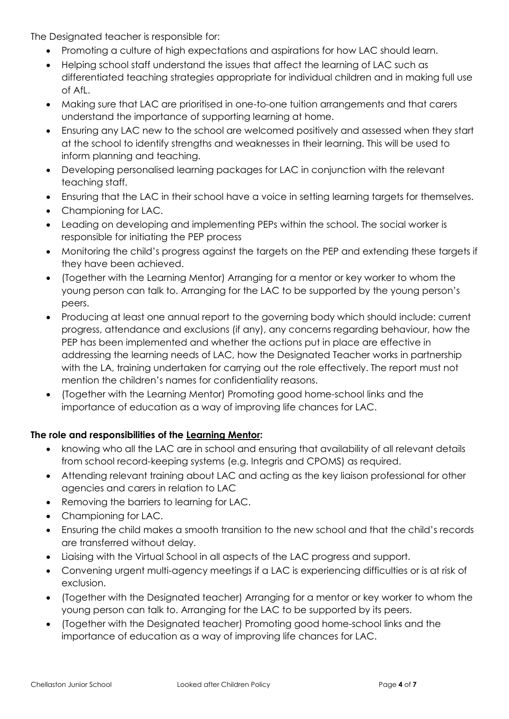The Designated teacher is responsible for:

- Promoting a culture of high expectations and aspirations for how LAC should learn.
- Helping school staff understand the issues that affect the learning of LAC such as differentiated teaching strategies appropriate for individual children and in making full use of AfL.
- Making sure that LAC are prioritised in one-to-one tuition arrangements and that carers understand the importance of supporting learning at home.
- Ensuring any LAC new to the school are welcomed positively and assessed when they start at the school to identify strengths and weaknesses in their learning. This will be used to inform planning and teaching.
- Developing personalised learning packages for LAC in conjunction with the relevant teaching staff.
- Ensuring that the LAC in their school have a voice in setting learning targets for themselves.
- Championing for LAC.
- Leading on developing and implementing PEPs within the school. The social worker is responsible for initiating the PEP process
- Monitoring the child's progress against the targets on the PEP and extending these targets if they have been achieved.
- (Together with the Learning Mentor) Arranging for a mentor or key worker to whom the young person can talk to. Arranging for the LAC to be supported by the young person's peers.
- Producing at least one annual report to the governing body which should include: current progress, attendance and exclusions (if any), any concerns regarding behaviour, how the PEP has been implemented and whether the actions put in place are effective in addressing the learning needs of LAC, how the Designated Teacher works in partnership with the LA, training undertaken for carrying out the role effectively. The report must not mention the children's names for confidentiality reasons.
- (Together with the Learning Mentor) Promoting good home-school links and the importance of education as a way of improving life chances for LAC.

#### **The role and responsibilities of the Learning Mentor:**

- knowing who all the LAC are in school and ensuring that availability of all relevant details from school record-keeping systems (e.g. Integris and CPOMS) as required.
- Attending relevant training about LAC and acting as the key liaison professional for other agencies and carers in relation to LAC
- Removing the barriers to learning for LAC.
- Championing for LAC.
- Ensuring the child makes a smooth transition to the new school and that the child's records are transferred without delay.
- Liaising with the Virtual School in all aspects of the LAC progress and support.
- Convening urgent multi-agency meetings if a LAC is experiencing difficulties or is at risk of exclusion.
- (Together with the Designated teacher) Arranging for a mentor or key worker to whom the young person can talk to. Arranging for the LAC to be supported by its peers.
- (Together with the Designated teacher) Promoting good home-school links and the importance of education as a way of improving life chances for LAC.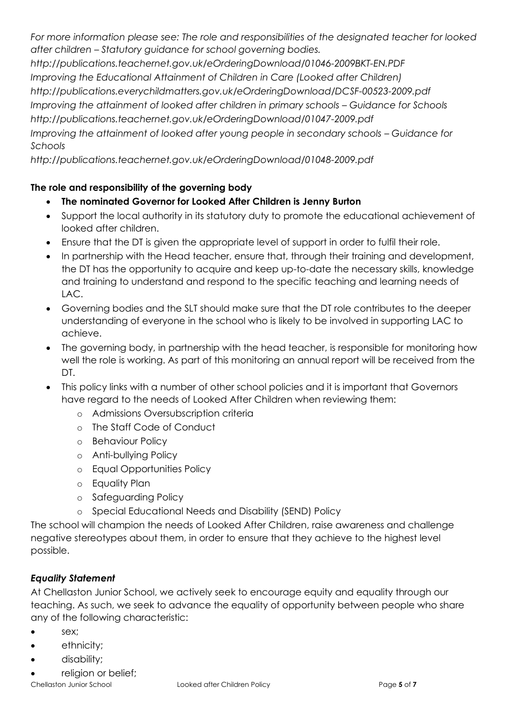*For more information please see: The role and responsibilities of the designated teacher for looked after children – Statutory guidance for school governing bodies.*

*http://publications.teachernet.gov.uk/eOrderingDownload/01046-2009BKT-EN.PDF Improving the Educational Attainment of Children in Care (Looked after Children) http://publications.everychildmatters.gov.uk/eOrderingDownload/DCSF-00523-2009.pdf Improving the attainment of looked after children in primary schools – Guidance for Schools http://publications.teachernet.gov.uk/eOrderingDownload/01047-2009.pdf Improving the attainment of looked after young people in secondary schools – Guidance for Schools*

*http://publications.teachernet.gov.uk/eOrderingDownload/01048-2009.pdf*

#### **The role and responsibility of the governing body**

- **The nominated Governor for Looked After Children is Jenny Burton**
- Support the local authority in its statutory duty to promote the educational achievement of looked after children.
- Ensure that the DT is given the appropriate level of support in order to fulfil their role.
- In partnership with the Head teacher, ensure that, through their training and development, the DT has the opportunity to acquire and keep up-to-date the necessary skills, knowledge and training to understand and respond to the specific teaching and learning needs of LAC.
- Governing bodies and the SLT should make sure that the DT role contributes to the deeper understanding of everyone in the school who is likely to be involved in supporting LAC to achieve.
- The governing body, in partnership with the head teacher, is responsible for monitoring how well the role is working. As part of this monitoring an annual report will be received from the DT.
- This policy links with a number of other school policies and it is important that Governors have regard to the needs of Looked After Children when reviewing them:
	- o Admissions Oversubscription criteria
	- o The Staff Code of Conduct
	- o Behaviour Policy
	- o Anti-bullying Policy
	- o Equal Opportunities Policy
	- o Equality Plan
	- o Safeguarding Policy
	- o Special Educational Needs and Disability (SEND) Policy

The school will champion the needs of Looked After Children, raise awareness and challenge negative stereotypes about them, in order to ensure that they achieve to the highest level possible.

#### *Equality Statement*

At Chellaston Junior School, we actively seek to encourage equity and equality through our teaching. As such, we seek to advance the equality of opportunity between people who share any of the following characteristic:

- sex;
- ethnicity;
- disability;
- religion or belief;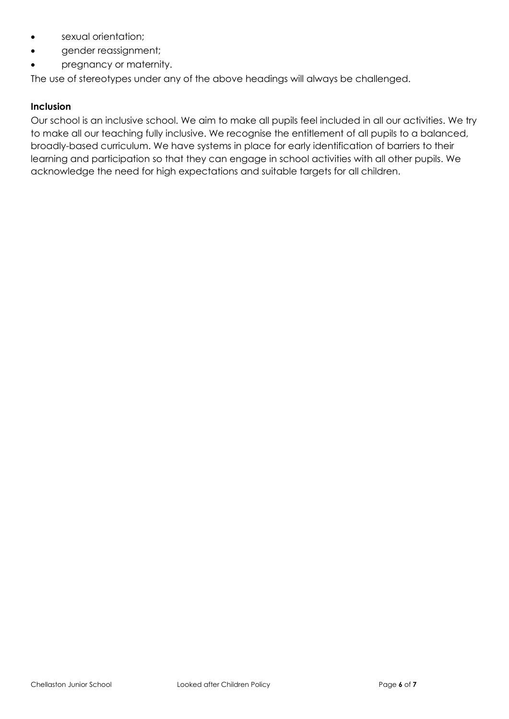- sexual orientation;
- gender reassignment;
- pregnancy or maternity.

The use of stereotypes under any of the above headings will always be challenged.

#### **Inclusion**

Our school is an inclusive school. We aim to make all pupils feel included in all our activities. We try to make all our teaching fully inclusive. We recognise the entitlement of all pupils to a balanced, broadly-based curriculum. We have systems in place for early identification of barriers to their learning and participation so that they can engage in school activities with all other pupils. We acknowledge the need for high expectations and suitable targets for all children.